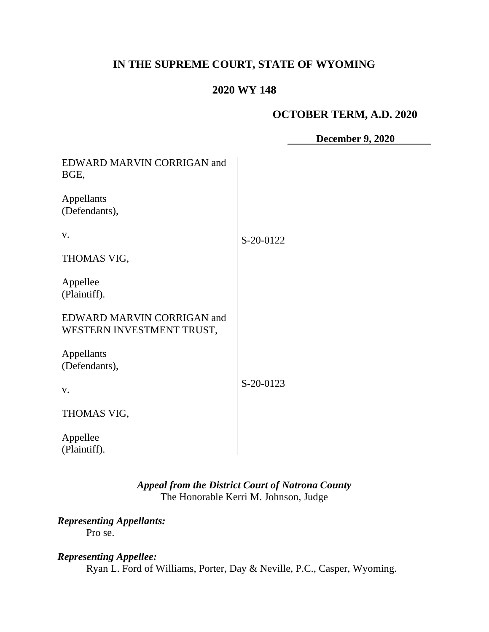# **IN THE SUPREME COURT, STATE OF WYOMING**

### **2020 WY 148**

### **OCTOBER TERM, A.D. 2020**

**December 9, 2020**

| EDWARD MARVIN CORRIGAN and<br>BGE,                      |           |
|---------------------------------------------------------|-----------|
| Appellants<br>(Defendants),                             |           |
| V.                                                      | S-20-0122 |
| THOMAS VIG,                                             |           |
| Appellee<br>(Plaintiff).                                |           |
| EDWARD MARVIN CORRIGAN and<br>WESTERN INVESTMENT TRUST, |           |
| Appellants<br>(Defendants),                             |           |
| V.                                                      | S-20-0123 |
| THOMAS VIG,                                             |           |
| Appellee<br>(Plaintiff).                                |           |

## *Appeal from the District Court of Natrona County* The Honorable Kerri M. Johnson, Judge

*Representing Appellants:* Pro se.

# *Representing Appellee:*

Ryan L. Ford of Williams, Porter, Day & Neville, P.C., Casper, Wyoming.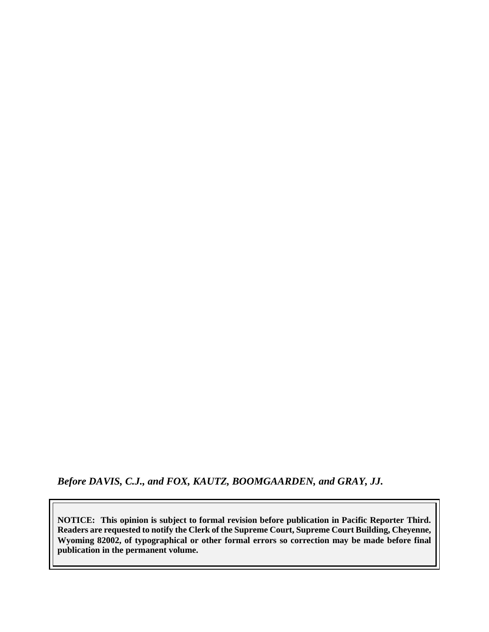*Before DAVIS, C.J., and FOX, KAUTZ, BOOMGAARDEN, and GRAY, JJ.*

**NOTICE: This opinion is subject to formal revision before publication in Pacific Reporter Third. Readers are requested to notify the Clerk of the Supreme Court, Supreme Court Building, Cheyenne, Wyoming 82002, of typographical or other formal errors so correction may be made before final publication in the permanent volume.**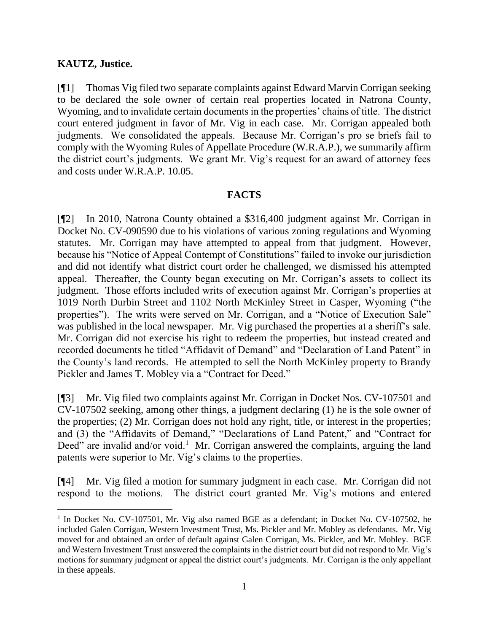### **KAUTZ, Justice.**

[¶1] Thomas Vig filed two separate complaints against Edward Marvin Corrigan seeking to be declared the sole owner of certain real properties located in Natrona County, Wyoming, and to invalidate certain documents in the properties' chains of title. The district court entered judgment in favor of Mr. Vig in each case. Mr. Corrigan appealed both judgments. We consolidated the appeals. Because Mr. Corrigan's pro se briefs fail to comply with the Wyoming Rules of Appellate Procedure (W.R.A.P.), we summarily affirm the district court's judgments. We grant Mr. Vig's request for an award of attorney fees and costs under W.R.A.P. 10.05.

### **FACTS**

[¶2] In 2010, Natrona County obtained a \$316,400 judgment against Mr. Corrigan in Docket No. CV-090590 due to his violations of various zoning regulations and Wyoming statutes. Mr. Corrigan may have attempted to appeal from that judgment. However, because his "Notice of Appeal Contempt of Constitutions" failed to invoke our jurisdiction and did not identify what district court order he challenged, we dismissed his attempted appeal. Thereafter, the County began executing on Mr. Corrigan's assets to collect its judgment. Those efforts included writs of execution against Mr. Corrigan's properties at 1019 North Durbin Street and 1102 North McKinley Street in Casper, Wyoming ("the properties"). The writs were served on Mr. Corrigan, and a "Notice of Execution Sale" was published in the local newspaper. Mr. Vig purchased the properties at a sheriff's sale. Mr. Corrigan did not exercise his right to redeem the properties, but instead created and recorded documents he titled "Affidavit of Demand" and "Declaration of Land Patent" in the County's land records. He attempted to sell the North McKinley property to Brandy Pickler and James T. Mobley via a "Contract for Deed."

[¶3] Mr. Vig filed two complaints against Mr. Corrigan in Docket Nos. CV-107501 and CV-107502 seeking, among other things, a judgment declaring (1) he is the sole owner of the properties; (2) Mr. Corrigan does not hold any right, title, or interest in the properties; and (3) the "Affidavits of Demand," "Declarations of Land Patent," and "Contract for Deed" are invalid and/or void.<sup>1</sup> Mr. Corrigan answered the complaints, arguing the land patents were superior to Mr. Vig's claims to the properties.

[¶4] Mr. Vig filed a motion for summary judgment in each case. Mr. Corrigan did not respond to the motions. The district court granted Mr. Vig's motions and entered

<sup>&</sup>lt;sup>1</sup> In Docket No. CV-107501, Mr. Vig also named BGE as a defendant; in Docket No. CV-107502, he included Galen Corrigan, Western Investment Trust, Ms. Pickler and Mr. Mobley as defendants. Mr. Vig moved for and obtained an order of default against Galen Corrigan, Ms. Pickler, and Mr. Mobley. BGE and Western Investment Trust answered the complaints in the district court but did not respond to Mr. Vig's motions for summary judgment or appeal the district court's judgments. Mr. Corrigan is the only appellant in these appeals.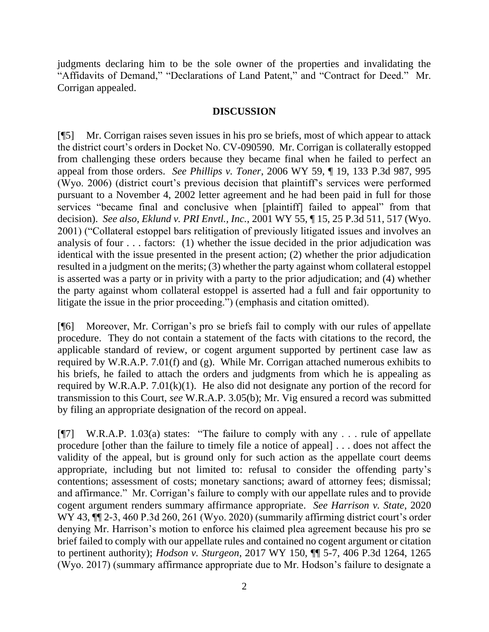judgments declaring him to be the sole owner of the properties and invalidating the "Affidavits of Demand," "Declarations of Land Patent," and "Contract for Deed." Mr. Corrigan appealed.

### **DISCUSSION**

[¶5] Mr. Corrigan raises seven issues in his pro se briefs, most of which appear to attack the district court's orders in Docket No. CV-090590. Mr. Corrigan is collaterally estopped from challenging these orders because they became final when he failed to perfect an appeal from those orders. *See Phillips v. Toner*, 2006 WY 59, ¶ 19, 133 P.3d 987, 995 (Wyo. 2006) (district court's previous decision that plaintiff's services were performed pursuant to a November 4, 2002 letter agreement and he had been paid in full for those services "became final and conclusive when [plaintiff] failed to appeal" from that decision). *See also, Eklund v. PRI Envtl., Inc.*, 2001 WY 55, ¶ 15, 25 P.3d 511, 517 (Wyo. 2001) ("Collateral estoppel bars relitigation of previously litigated issues and involves an analysis of four . . . factors: (1) whether the issue decided in the prior adjudication was identical with the issue presented in the present action; (2) whether the prior adjudication resulted in a judgment on the merits; (3) whether the party against whom collateral estoppel is asserted was a party or in privity with a party to the prior adjudication; and (4) whether the party against whom collateral estoppel is asserted had a full and fair opportunity to litigate the issue in the prior proceeding.") (emphasis and citation omitted).

[¶6] Moreover, Mr. Corrigan's pro se briefs fail to comply with our rules of appellate procedure. They do not contain a statement of the facts with citations to the record, the applicable standard of review, or cogent argument supported by pertinent case law as required by W.R.A.P. 7.01(f) and (g). While Mr. Corrigan attached numerous exhibits to his briefs, he failed to attach the orders and judgments from which he is appealing as required by W.R.A.P.  $7.01(k)(1)$ . He also did not designate any portion of the record for transmission to this Court, *see* W.R.A.P. 3.05(b); Mr. Vig ensured a record was submitted by filing an appropriate designation of the record on appeal.

[¶7] W.R.A.P. 1.03(a) states: "The failure to comply with any . . . rule of appellate procedure [other than the failure to timely file a notice of appeal] . . . does not affect the validity of the appeal, but is ground only for such action as the appellate court deems appropriate, including but not limited to: refusal to consider the offending party's contentions; assessment of costs; monetary sanctions; award of attorney fees; dismissal; and affirmance." Mr. Corrigan's failure to comply with our appellate rules and to provide cogent argument renders summary affirmance appropriate. *See Harrison v. State*, 2020 WY 43, ¶¶ 2-3, 460 P.3d 260, 261 (Wyo. 2020) (summarily affirming district court's order denying Mr. Harrison's motion to enforce his claimed plea agreement because his pro se brief failed to comply with our appellate rules and contained no cogent argument or citation to pertinent authority); *Hodson v. Sturgeon*, 2017 WY 150, ¶¶ 5-7, 406 P.3d 1264, 1265 (Wyo. 2017) (summary affirmance appropriate due to Mr. Hodson's failure to designate a